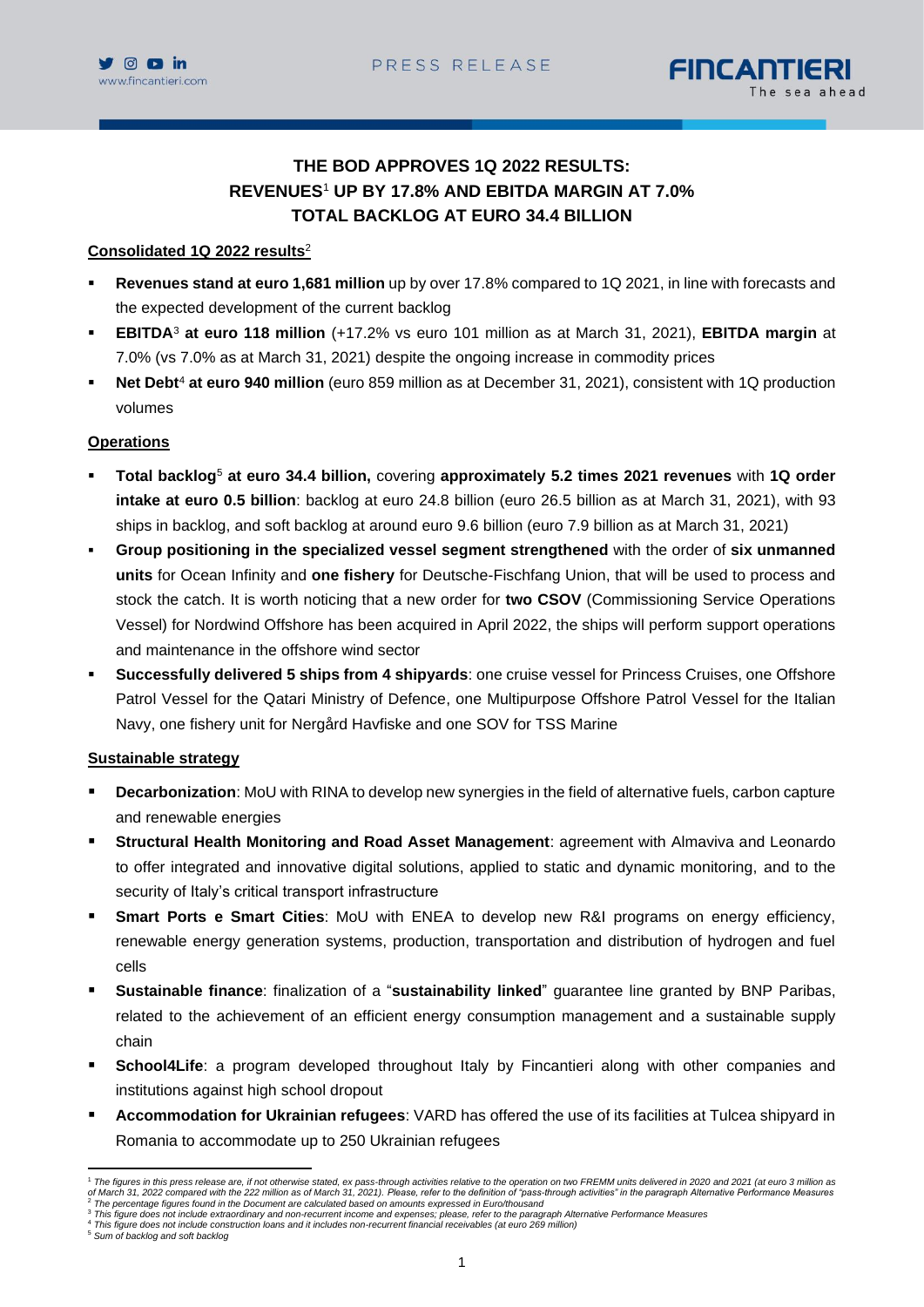

# **THE BOD APPROVES 1Q 2022 RESULTS: REVENUES**<sup>1</sup> **UP BY 17.8% AND EBITDA MARGIN AT 7.0% TOTAL BACKLOG AT EURO 34.4 BILLION**

## **Consolidated 1Q 2022 results** 2

- **Revenues stand at euro 1,681 million** up by over 17.8% compared to 1Q 2021, in line with forecasts and the expected development of the current backlog
- **EBITDA**<sup>3</sup> **at euro 118 million** (+17.2% vs euro 101 million as at March 31, 2021), **EBITDA margin** at 7.0% (vs 7.0% as at March 31, 2021) despite the ongoing increase in commodity prices
- Net Debt<sup>4</sup> at euro 940 million (euro 859 million as at December 31, 2021), consistent with 1Q production volumes

## **Operations**

- **Total backlog**<sup>5</sup> **at euro 34.4 billion,** covering **approximately 5.2 times 2021 revenues** with **1Q order intake at euro 0.5 billion**: backlog at euro 24.8 billion (euro 26.5 billion as at March 31, 2021), with 93 ships in backlog, and soft backlog at around euro 9.6 billion (euro 7.9 billion as at March 31, 2021)
- **Group positioning in the specialized vessel segment strengthened** with the order of **six unmanned units** for Ocean Infinity and **one fishery** for Deutsche-Fischfang Union, that will be used to process and stock the catch. It is worth noticing that a new order for **two CSOV** (Commissioning Service Operations Vessel) for Nordwind Offshore has been acquired in April 2022, the ships will perform support operations and maintenance in the offshore wind sector
- **Successfully delivered 5 ships from 4 shipyards**: one cruise vessel for Princess Cruises, one Offshore Patrol Vessel for the Qatari Ministry of Defence, one Multipurpose Offshore Patrol Vessel for the Italian Navy, one fishery unit for Nergård Havfiske and one SOV for TSS Marine

## **Sustainable strategy**

- **Decarbonization**: MoU with RINA to develop new synergies in the field of alternative fuels, carbon capture and renewable energies
- **Structural Health Monitoring and Road Asset Management**: agreement with Almaviva and Leonardo to offer integrated and innovative digital solutions, applied to static and dynamic monitoring, and to the security of Italy's critical transport infrastructure
- **Smart Ports e Smart Cities:** MoU with ENEA to develop new R&I programs on energy efficiency, renewable energy generation systems, production, transportation and distribution of hydrogen and fuel cells
- **Sustainable finance**: finalization of a "**sustainability linked**" guarantee line granted by BNP Paribas, related to the achievement of an efficient energy consumption management and a sustainable supply chain
- **EXECT School4Life:** a program developed throughout Italy by Fincantieri along with other companies and institutions against high school dropout
- **Accommodation for Ukrainian refugees**: VARD has offered the use of its facilities at Tulcea shipyard in Romania to accommodate up to 250 Ukrainian refugees

<sup>1</sup> *The figures in this press release are, if not otherwise stated, ex pass-through activities relative to the operation on two FREMM units delivered in 2020 and 2021 (at euro 3 million as of March 31, 2022 compared with the 222 million as of March 31, 2021). Please, refer to the definition of "pass-through activities" in the paragraph Alternative Performance Measures* <sup>2</sup> *The percentage figures found in the Document are calculated based on amounts expressed in Euro/thousand*

<sup>&</sup>lt;sup>3</sup> This figure does not include extraordinary and non-recurrent income and expenses; please, refer to the paragraph Alternative Performance Measures<br><sup>4</sup> This figure does not include construction loans and it includes non-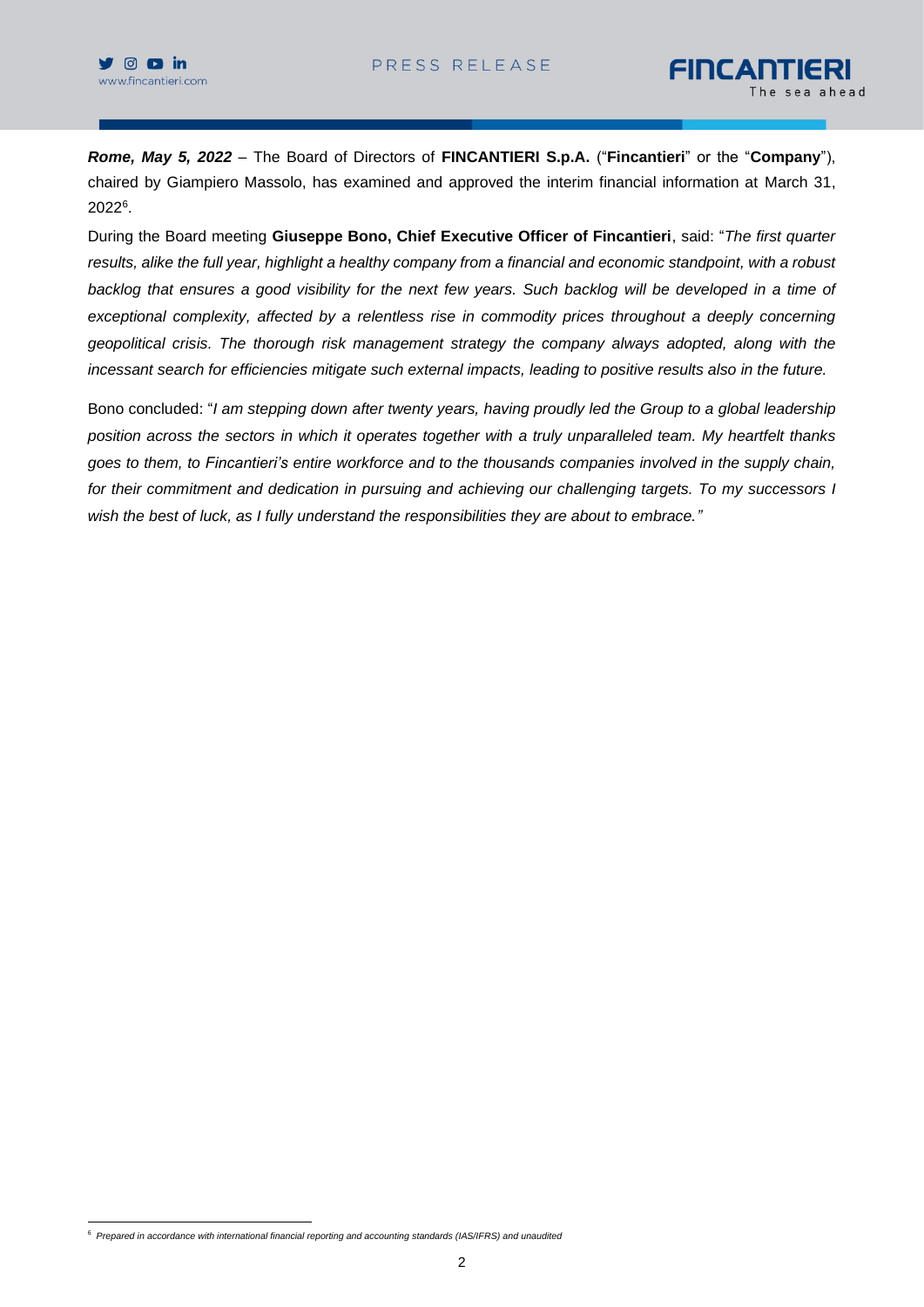*Rome, May 5, 2022* – The Board of Directors of **FINCANTIERI S.p.A.** ("**Fincantieri**" or the "**Company**"), chaired by Giampiero Massolo, has examined and approved the interim financial information at March 31, 2022 6 .

During the Board meeting **Giuseppe Bono, Chief Executive Officer of Fincantieri**, said: "*The first quarter results, alike the full year, highlight a healthy company from a financial and economic standpoint, with a robust backlog that ensures a good visibility for the next few years. Such backlog will be developed in a time of exceptional complexity, affected by a relentless rise in commodity prices throughout a deeply concerning geopolitical crisis. The thorough risk management strategy the company always adopted, along with the incessant search for efficiencies mitigate such external impacts, leading to positive results also in the future.*

Bono concluded: "*I am stepping down after twenty years, having proudly led the Group to a global leadership position across the sectors in which it operates together with a truly unparalleled team. My heartfelt thanks goes to them, to Fincantieri's entire workforce and to the thousands companies involved in the supply chain, for their commitment and dedication in pursuing and achieving our challenging targets. To my successors I wish the best of luck, as I fully understand the responsibilities they are about to embrace."*

<sup>6</sup> *Prepared in accordance with international financial reporting and accounting standards (IAS/IFRS) and unaudited*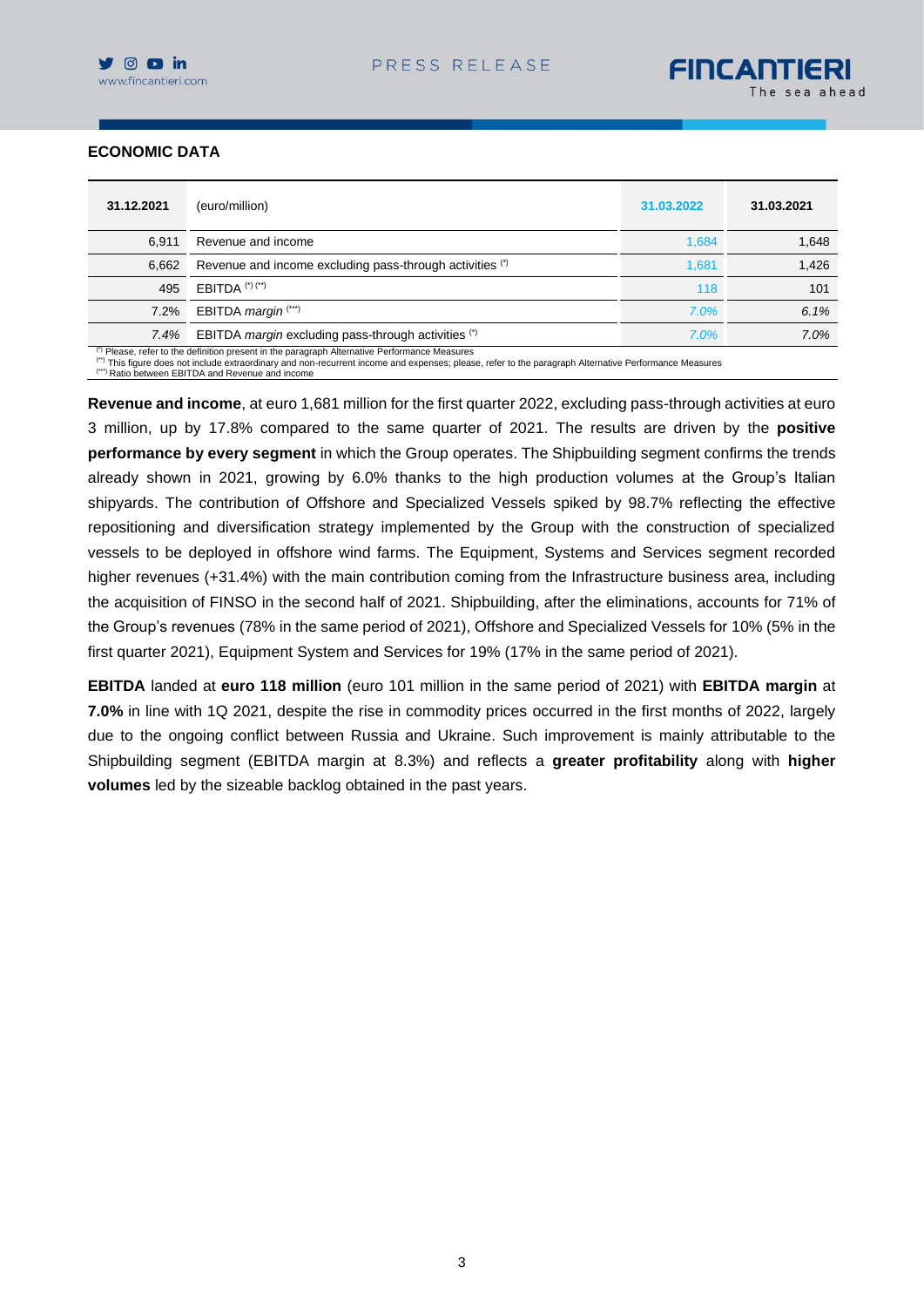

## **ECONOMIC DATA**

| 31.12.2021 | (euro/million)                                                                                | 31.03.2022 | 31.03.2021 |
|------------|-----------------------------------------------------------------------------------------------|------------|------------|
| 6.911      | Revenue and income                                                                            | 1,684      | 1,648      |
| 6,662      | Revenue and income excluding pass-through activities (*)                                      | 1,681      | 1,426      |
| 495        | <b>EBITDA</b> $(*)$ $(*)$                                                                     | 118        | 101        |
| 7.2%       | EBITDA <i>margin</i> (***)                                                                    | 7.0%       | 6.1%       |
| 7.4%       | EBITDA <i>margin</i> excluding pass-through activities (*)                                    | 7.0%       | 7.0%       |
|            | (*) Please, refer to the definition present in the paragraph Alternative Performance Measures |            |            |

<sup>(\*)</sup> Please, refer to the definition present in the paragraph Alternative Performance Measures<br><sup>(\*)</sup> This figure does not include extraordinary and non-recurrent income and expenses; please, refer to the paragraph Alterna (\*\*\*) Ratio between EBITDA and Revenue an

**Revenue and income**, at euro 1,681 million for the first quarter 2022, excluding pass-through activities at euro 3 million, up by 17.8% compared to the same quarter of 2021. The results are driven by the **positive performance by every segment** in which the Group operates. The Shipbuilding segment confirms the trends already shown in 2021, growing by 6.0% thanks to the high production volumes at the Group's Italian shipyards. The contribution of Offshore and Specialized Vessels spiked by 98.7% reflecting the effective repositioning and diversification strategy implemented by the Group with the construction of specialized vessels to be deployed in offshore wind farms. The Equipment, Systems and Services segment recorded higher revenues (+31.4%) with the main contribution coming from the Infrastructure business area, including the acquisition of FINSO in the second half of 2021. Shipbuilding, after the eliminations, accounts for 71% of the Group's revenues (78% in the same period of 2021), Offshore and Specialized Vessels for 10% (5% in the first quarter 2021), Equipment System and Services for 19% (17% in the same period of 2021).

**EBITDA** landed at **euro 118 million** (euro 101 million in the same period of 2021) with **EBITDA margin** at **7.0%** in line with 1Q 2021, despite the rise in commodity prices occurred in the first months of 2022, largely due to the ongoing conflict between Russia and Ukraine. Such improvement is mainly attributable to the Shipbuilding segment (EBITDA margin at 8.3%) and reflects a **greater profitability** along with **higher volumes** led by the sizeable backlog obtained in the past years.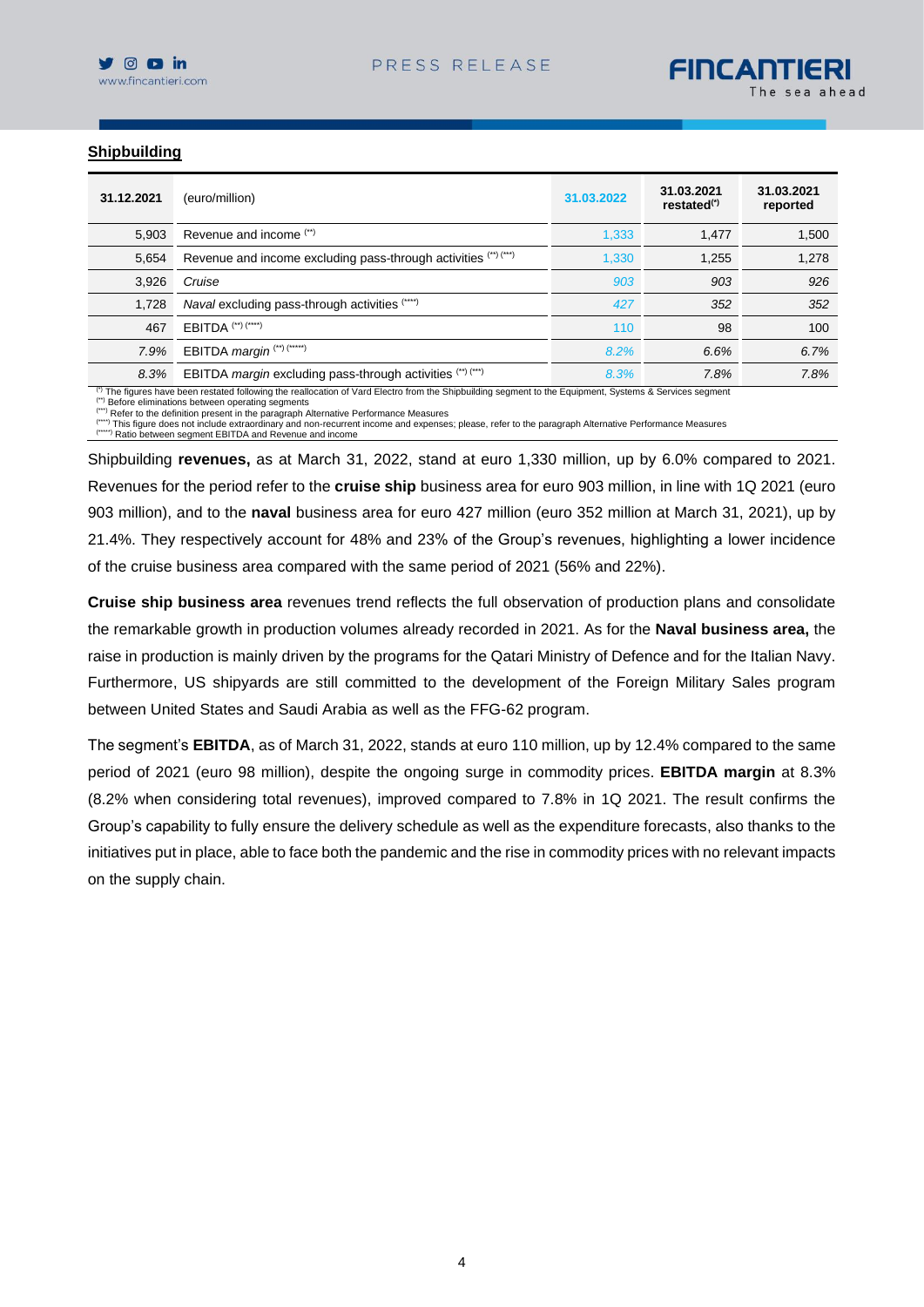

#### **Shipbuilding**

| 31.12.2021 | (euro/million)                                                  | 31.03.2022 | 31.03.2021<br>restated <sup>(*)</sup> | 31.03.2021<br>reported |
|------------|-----------------------------------------------------------------|------------|---------------------------------------|------------------------|
| 5.903      | Revenue and income (**)                                         | 1,333      | 1.477                                 | 1,500                  |
| 5,654      | Revenue and income excluding pass-through activities (") ("")   | 1,330      | 1.255                                 | 1,278                  |
| 3,926      | Cruise                                                          | 903        | 903                                   | 926                    |
| 1.728      | Naval excluding pass-through activities (****)                  | 427        | 352                                   | 352                    |
| 467        | EBITDA <sup>(**)(****)</sup>                                    | 110        | 98                                    | 100                    |
| 7.9%       | EBITDA margin (**) (*****)                                      | 8.2%       | 6.6%                                  | 6.7%                   |
| 8.3%       | EBITDA <i>margin</i> excluding pass-through activities (") ("") | 8.3%       | 7.8%                                  | 7.8%                   |

( $^{\circ}$  The figures have been restated following the reallocation of Vard Electro from the Shipbuilding segment to the Equipment, Systems & Services segment

(\*\*) Before eliminations between operating segments

(\*\*\*) Refer to the definition present in the paragraph Alternative Performance Measures (\*\*\*\*) This figure does not include extraordinary and non-recurrent income and expenses; please, refer to the paragraph Alternative Performance Measures

(\*\*\*) Ratio between segment EBITDA and Revenue and income

Shipbuilding **revenues,** as at March 31, 2022, stand at euro 1,330 million, up by 6.0% compared to 2021. Revenues for the period refer to the **cruise ship** business area for euro 903 million, in line with 1Q 2021 (euro 903 million), and to the **naval** business area for euro 427 million (euro 352 million at March 31, 2021), up by 21.4%. They respectively account for 48% and 23% of the Group's revenues, highlighting a lower incidence of the cruise business area compared with the same period of 2021 (56% and 22%).

**Cruise ship business area** revenues trend reflects the full observation of production plans and consolidate the remarkable growth in production volumes already recorded in 2021. As for the **Naval business area,** the raise in production is mainly driven by the programs for the Qatari Ministry of Defence and for the Italian Navy. Furthermore, US shipyards are still committed to the development of the Foreign Military Sales program between United States and Saudi Arabia as well as the FFG-62 program.

The segment's **EBITDA**, as of March 31, 2022, stands at euro 110 million, up by 12.4% compared to the same period of 2021 (euro 98 million), despite the ongoing surge in commodity prices. **EBITDA margin** at 8.3% (8.2% when considering total revenues), improved compared to 7.8% in 1Q 2021. The result confirms the Group's capability to fully ensure the delivery schedule as well as the expenditure forecasts, also thanks to the initiatives put in place, able to face both the pandemic and the rise in commodity prices with no relevant impacts on the supply chain.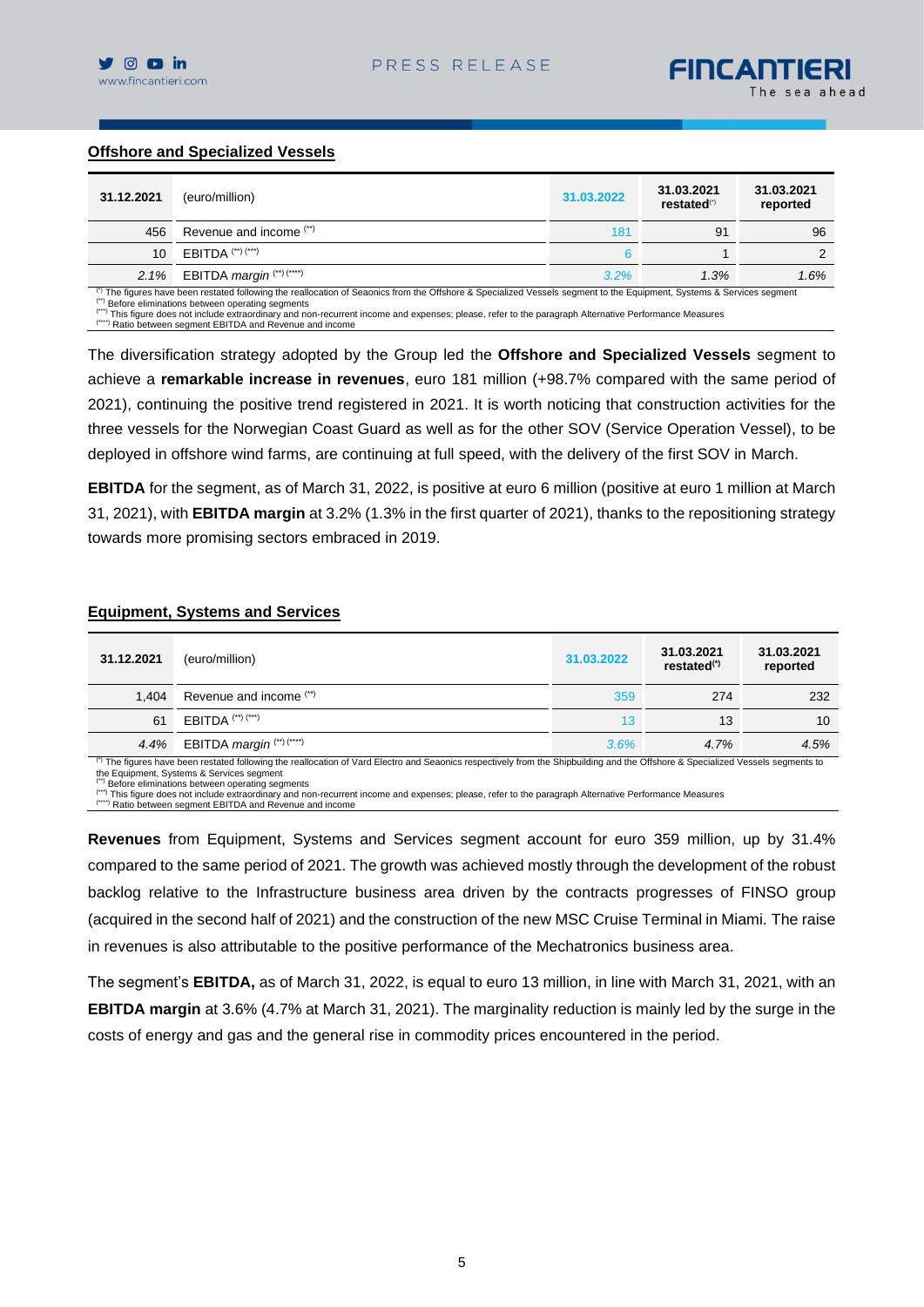## **Offshore and Specialized Vessels**

| 31.12.2021 | (euro/million)                   | 31.03.2022 | 31.03.2021<br>restated <sup>(*)</sup> | 31.03.2021<br>reported |
|------------|----------------------------------|------------|---------------------------------------|------------------------|
| 456        | Revenue and income (**)          | 181        | 91                                    | 96                     |
| 10         | $EBITDA$ (**) (***)              |            |                                       |                        |
|            | 2.1% EBITDA margin $(*)$ $(***)$ | $3.2\%$    | 1.3%                                  | 1.6%                   |

 $\beta$  The figures have been restated following the reallocation of Seaonics from the Offshore & Specialized Vessels segment to the Equipment, Systems & Services segment

(\*\*) Before eliminations between operating segments

This figure does not include extraordinary and non-recurrent income and expenses; please, refer to the paragraph Alternative Performance Measures

(\*\*\*\*) Ratio between segment EBITDA and Revenue and income

The diversification strategy adopted by the Group led the **Offshore and Specialized Vessels** segment to achieve a **remarkable increase in revenues**, euro 181 million (+98.7% compared with the same period of 2021), continuing the positive trend registered in 2021. It is worth noticing that construction activities for the three vessels for the Norwegian Coast Guard as well as for the other SOV (Service Operation Vessel), to be deployed in offshore wind farms, are continuing at full speed, with the delivery of the first SOV in March.

**EBITDA** for the segment, as of March 31, 2022, is positive at euro 6 million (positive at euro 1 million at March 31, 2021), with **EBITDA margin** at 3.2% (1.3% in the first quarter of 2021), thanks to the repositioning strategy towards more promising sectors embraced in 2019.

#### **Equipment, Systems and Services**

| 31.12.2021                                                                                                                                                                      | (euro/million)                                   | 31.03.2022 | 31.03.2021<br>restated <sup>(*)</sup> | 31.03.2021<br>reported |  |  |  |  |  |
|---------------------------------------------------------------------------------------------------------------------------------------------------------------------------------|--------------------------------------------------|------------|---------------------------------------|------------------------|--|--|--|--|--|
| 1.404                                                                                                                                                                           | Revenue and income (")                           | 359        | 274                                   | 232                    |  |  |  |  |  |
| 61                                                                                                                                                                              | $EBITDA$ (**) (***)                              | 13         | 13                                    | 10                     |  |  |  |  |  |
|                                                                                                                                                                                 | 4.4% EBITDA margin $($ <sup>**</sup> ) $($ ****) | $3.6\%$    | 4.7%                                  | 4.5%                   |  |  |  |  |  |
| (i) The figures have been restated following the reallection of Vard Floctre and Segenics respectively from the Shipbuilding and the Offshere & Specialized Vessels segments to |                                                  |            |                                       |                        |  |  |  |  |  |

(\*) The figures have been restated following the reallocation of Vard Electro and Seaonics respectively from the Shipbuilding and the Offshore & Specialized Vessels segments to the Equipment, Systems & Services segment

 $(4)$  Before eliminations between operating segments

(\*\*\*) This figure does not include extraordinary and non-recurrent income and expenses; please, refer to the paragraph Alternative Performance Measures (\*\*\*\*) Ratio between segment EBITDA and Revenue and income

**Revenues** from Equipment, Systems and Services segment account for euro 359 million, up by 31.4% compared to the same period of 2021. The growth was achieved mostly through the development of the robust backlog relative to the Infrastructure business area driven by the contracts progresses of FINSO group (acquired in the second half of 2021) and the construction of the new MSC Cruise Terminal in Miami. The raise in revenues is also attributable to the positive performance of the Mechatronics business area.

The segment's **EBITDA,** as of March 31, 2022, is equal to euro 13 million, in line with March 31, 2021, with an **EBITDA margin** at 3.6% (4.7% at March 31, 2021). The marginality reduction is mainly led by the surge in the costs of energy and gas and the general rise in commodity prices encountered in the period.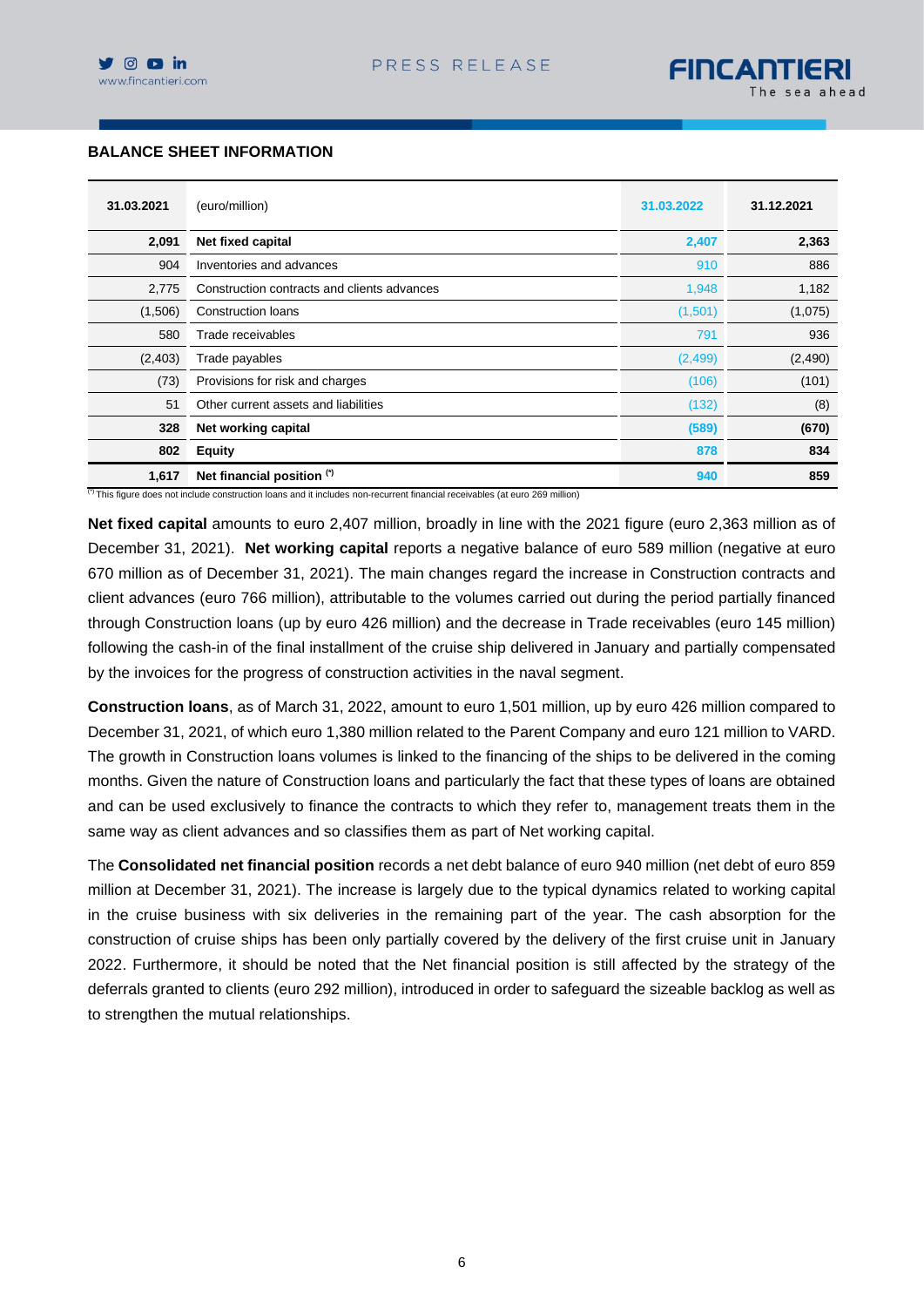## **BALANCE SHEET INFORMATION**

| 31.03.2021 | (euro/million)                              | 31.03.2022 | 31.12.2021 |
|------------|---------------------------------------------|------------|------------|
| 2,091      | Net fixed capital                           | 2,407      | 2,363      |
| 904        | Inventories and advances                    | 910        | 886        |
| 2,775      | Construction contracts and clients advances | 1,948      | 1,182      |
| (1,506)    | <b>Construction loans</b>                   | (1,501)    | (1,075)    |
| 580        | Trade receivables                           | 791        | 936        |
| (2,403)    | Trade payables                              | (2, 499)   | (2,490)    |
| (73)       | Provisions for risk and charges             | (106)      | (101)      |
| 51         | Other current assets and liabilities        | (132)      | (8)        |
| 328        | Net working capital                         | (589)      | (670)      |
| 802        | <b>Equity</b>                               | 878        | 834        |
| 1,617      | Net financial position (*)                  | 940        | 859        |

<sup>(\*)</sup> This figure does not include construction loans and it includes non-recurrent financial receivables (at euro 269 million)

**Net fixed capital** amounts to euro 2,407 million, broadly in line with the 2021 figure (euro 2,363 million as of December 31, 2021). **Net working capital** reports a negative balance of euro 589 million (negative at euro 670 million as of December 31, 2021). The main changes regard the increase in Construction contracts and client advances (euro 766 million), attributable to the volumes carried out during the period partially financed through Construction loans (up by euro 426 million) and the decrease in Trade receivables (euro 145 million) following the cash-in of the final installment of the cruise ship delivered in January and partially compensated by the invoices for the progress of construction activities in the naval segment.

**Construction loans**, as of March 31, 2022, amount to euro 1,501 million, up by euro 426 million compared to December 31, 2021, of which euro 1,380 million related to the Parent Company and euro 121 million to VARD. The growth in Construction loans volumes is linked to the financing of the ships to be delivered in the coming months. Given the nature of Construction loans and particularly the fact that these types of loans are obtained and can be used exclusively to finance the contracts to which they refer to, management treats them in the same way as client advances and so classifies them as part of Net working capital.

The **Consolidated net financial position** records a net debt balance of euro 940 million (net debt of euro 859 million at December 31, 2021). The increase is largely due to the typical dynamics related to working capital in the cruise business with six deliveries in the remaining part of the year. The cash absorption for the construction of cruise ships has been only partially covered by the delivery of the first cruise unit in January 2022. Furthermore, it should be noted that the Net financial position is still affected by the strategy of the deferrals granted to clients (euro 292 million), introduced in order to safeguard the sizeable backlog as well as to strengthen the mutual relationships.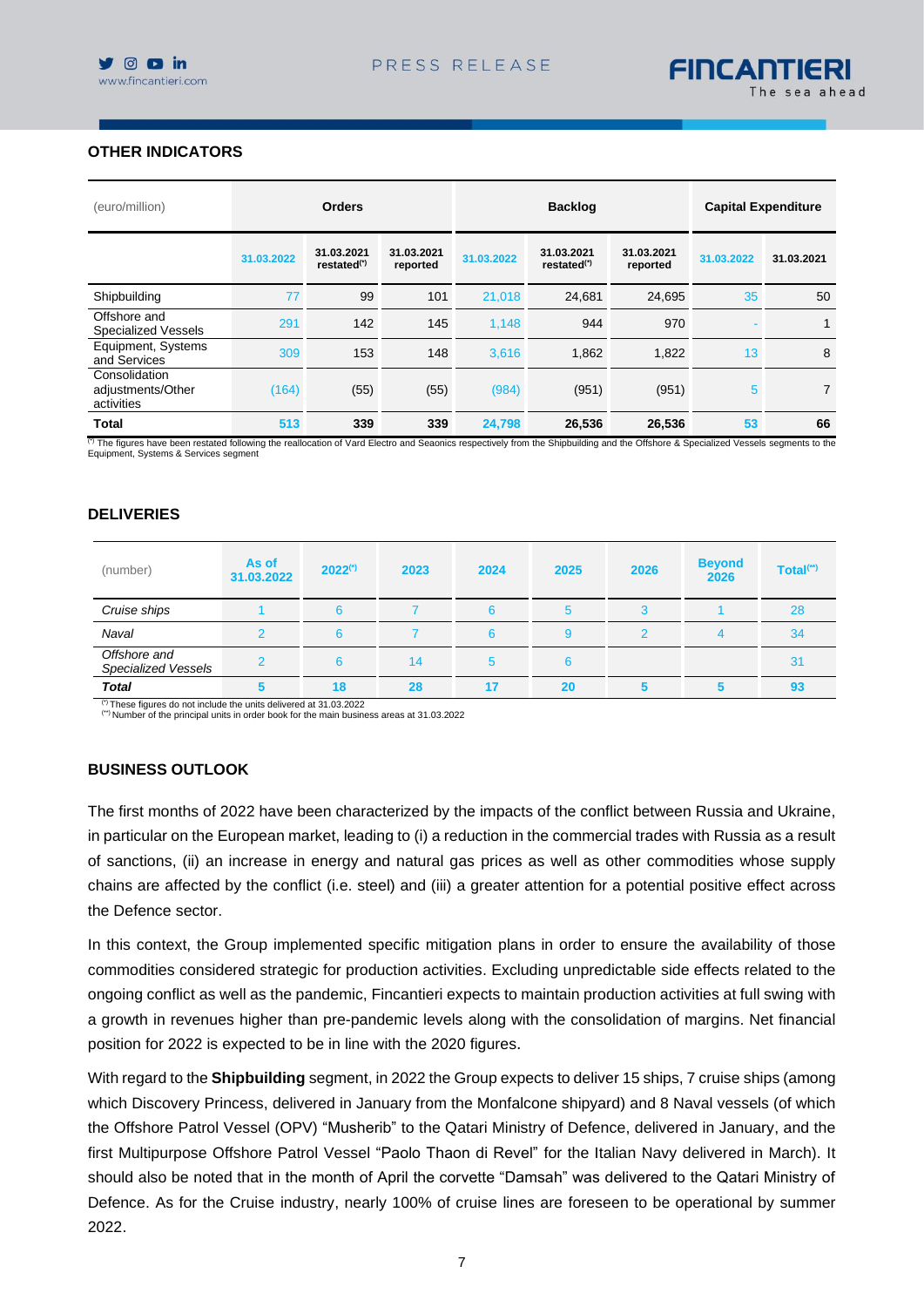# **OTHER INDICATORS**

| (euro/million)                                   | <b>Orders</b> |                                       |                        | <b>Backlog</b> |                                       |                        | <b>Capital Expenditure</b> |            |
|--------------------------------------------------|---------------|---------------------------------------|------------------------|----------------|---------------------------------------|------------------------|----------------------------|------------|
|                                                  | 31.03.2022    | 31.03.2021<br>restated <sup>(*)</sup> | 31.03.2021<br>reported | 31.03.2022     | 31.03.2021<br>restated <sup>(*)</sup> | 31.03.2021<br>reported | 31.03.2022                 | 31.03.2021 |
| Shipbuilding                                     | 77            | 99                                    | 101                    | 21,018         | 24.681                                | 24,695                 | 35                         | 50         |
| Offshore and<br><b>Specialized Vessels</b>       | 291           | 142                                   | 145                    | 1.148          | 944                                   | 970                    |                            | 1          |
| Equipment, Systems<br>and Services               | 309           | 153                                   | 148                    | 3,616          | 1,862                                 | 1,822                  | 13                         | 8          |
| Consolidation<br>adjustments/Other<br>activities | (164)         | (55)                                  | (55)                   | (984)          | (951)                                 | (951)                  | 5                          | 7          |
| <b>Total</b>                                     | 513           | 339                                   | 339                    | 24,798         | 26,536                                | 26,536                 | 53                         | 66         |

(\*) The figures have been restated following the reallocation of Vard Electro and Seaonics respectively from the Shipbuilding and the Offshore & Specialized Vessels segments to the<br>Equipment, Systems & Services segment

#### **DELIVERIES**

| (number)                                                              | As of<br>31.03.2022 | $2022^{(*)}$ | 2023 | 2024 | 2025 | 2026 | <b>Beyond</b><br>2026 | Total <sup>(**)</sup> |
|-----------------------------------------------------------------------|---------------------|--------------|------|------|------|------|-----------------------|-----------------------|
| Cruise ships                                                          |                     |              |      | h    | 5    |      |                       | 28                    |
| Naval                                                                 |                     |              |      |      | 9    |      |                       | 34                    |
| Offshore and<br><b>Specialized Vessels</b>                            |                     |              | 14   |      | 6    |      |                       | 31                    |
| <b>Total</b>                                                          |                     | 18           | 28   | 17   | 20   |      |                       | 93                    |
| (2022) These figures do not include the units delivered at 31 03 2022 |                     |              |      |      |      |      |                       |                       |

(\*\*) Number of the principal units in order book for the main business areas at 31.03.2022

## **BUSINESS OUTLOOK**

The first months of 2022 have been characterized by the impacts of the conflict between Russia and Ukraine, in particular on the European market, leading to (i) a reduction in the commercial trades with Russia as a result of sanctions, (ii) an increase in energy and natural gas prices as well as other commodities whose supply chains are affected by the conflict (i.e. steel) and (iii) a greater attention for a potential positive effect across the Defence sector.

In this context, the Group implemented specific mitigation plans in order to ensure the availability of those commodities considered strategic for production activities. Excluding unpredictable side effects related to the ongoing conflict as well as the pandemic, Fincantieri expects to maintain production activities at full swing with a growth in revenues higher than pre-pandemic levels along with the consolidation of margins. Net financial position for 2022 is expected to be in line with the 2020 figures.

With regard to the **Shipbuilding** segment, in 2022 the Group expects to deliver 15 ships, 7 cruise ships (among which Discovery Princess, delivered in January from the Monfalcone shipyard) and 8 Naval vessels (of which the Offshore Patrol Vessel (OPV) "Musherib" to the Qatari Ministry of Defence, delivered in January, and the first Multipurpose Offshore Patrol Vessel "Paolo Thaon di Revel" for the Italian Navy delivered in March). It should also be noted that in the month of April the corvette "Damsah" was delivered to the Qatari Ministry of Defence. As for the Cruise industry, nearly 100% of cruise lines are foreseen to be operational by summer 2022.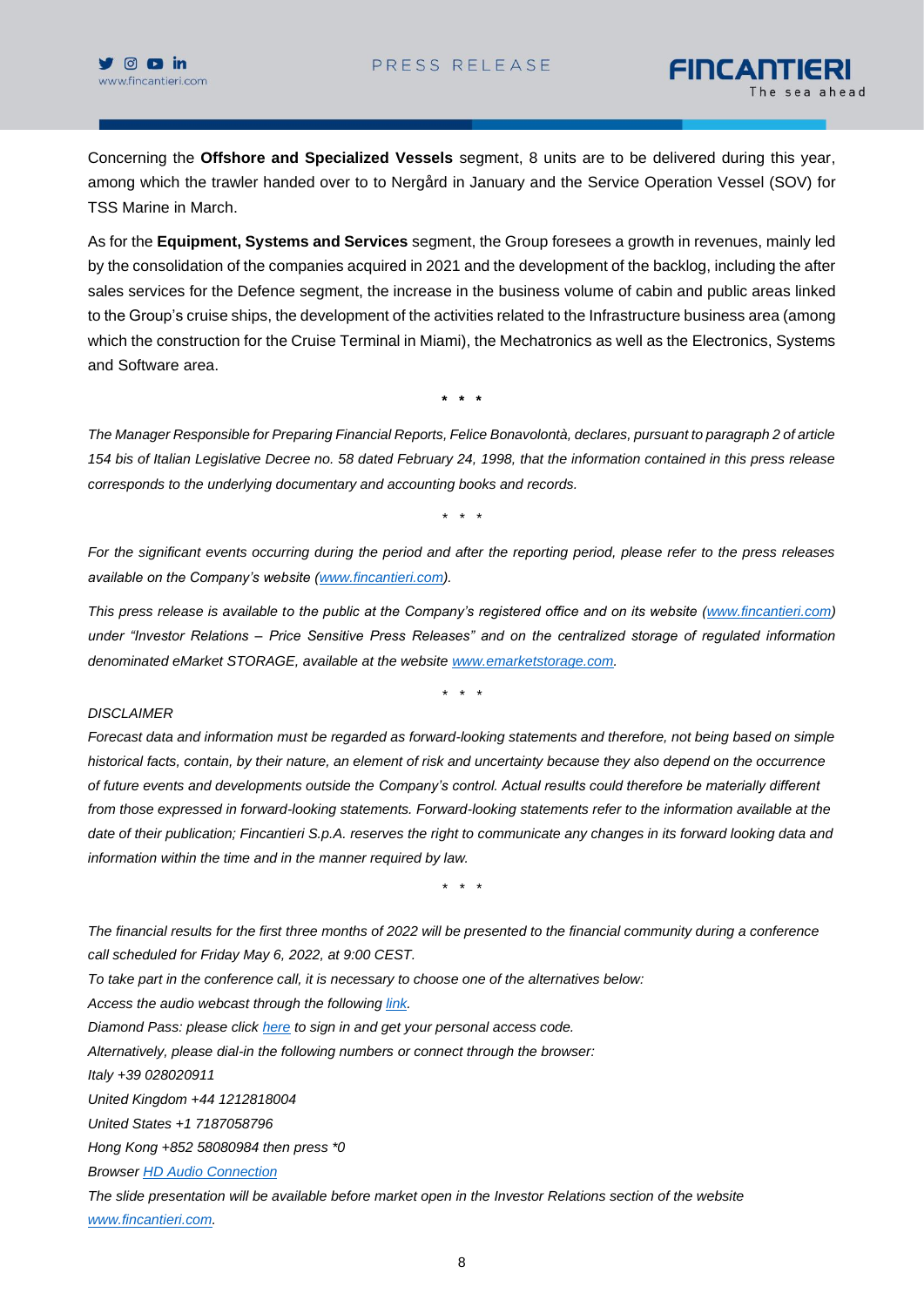Concerning the **Offshore and Specialized Vessels** segment, 8 units are to be delivered during this year, among which the trawler handed over to to Nergård in January and the Service Operation Vessel (SOV) for TSS Marine in March.

As for the **Equipment, Systems and Services** segment, the Group foresees a growth in revenues, mainly led by the consolidation of the companies acquired in 2021 and the development of the backlog, including the after sales services for the Defence segment, the increase in the business volume of cabin and public areas linked to the Group's cruise ships, the development of the activities related to the Infrastructure business area (among which the construction for the Cruise Terminal in Miami), the Mechatronics as well as the Electronics, Systems and Software area.

**\* \* \***

*The Manager Responsible for Preparing Financial Reports, Felice Bonavolontà, declares, pursuant to paragraph 2 of article 154 bis of Italian Legislative Decree no. 58 dated February 24, 1998, that the information contained in this press release corresponds to the underlying documentary and accounting books and records.*

*\* \* \**

*For the significant events occurring during the period and after the reporting period, please refer to the press releases available on the Company's website [\(www.fincantieri.com\)](http://www.fincantieri.com/).*

*This press release is available to the public at the Company's registered office and on its website [\(www.fincantieri.com\)](http://www.fincantieri.com/) under "Investor Relations – Price Sensitive Press Releases" and on the centralized storage of regulated information denominated eMarket STORAGE, available at the website [www.emarketstorage.com.](http://www.emarketstorage.com/)*

*\* \* \**

#### *DISCLAIMER*

*Forecast data and information must be regarded as forward-looking statements and therefore, not being based on simple historical facts, contain, by their nature, an element of risk and uncertainty because they also depend on the occurrence of future events and developments outside the Company's control. Actual results could therefore be materially different from those expressed in forward-looking statements. Forward-looking statements refer to the information available at the date of their publication; Fincantieri S.p.A. reserves the right to communicate any changes in its forward looking data and information within the time and in the manner required by law.*

*\* \* \** 

*The financial results for the first three months of 2022 will be presented to the financial community during a conference call scheduled for Friday May 6, 2022, at 9:00 CEST.*

*To take part in the conference call, it is necessary to choose one of the alternatives below:*

*Access the audio webcast through the following [link.](https://urldefense.com/v3/__https:/87399.choruscall.eu/links/fincantieri220506.html__;!!EAvW5M_HCdSncw!MVJjtLeNEXuP9FUs_RyXg13OTKqfHFvq7J6LZdvX27pEywRNBwP24Yky3CrIo0Ch_uSd5JR-4S1I9egQzgfdvanj8eE$)*

*Diamond Pass: please click [here](https://urldefense.com/v3/__http:/services.choruscall.it/DiamondPassRegistration/register?confirmationNumber=7549598&linkSecurityString=5b2df04ec__;!!EAvW5M_HCdSncw!MVJjtLeNEXuP9FUs_RyXg13OTKqfHFvq7J6LZdvX27pEywRNBwP24Yky3CrIo0Ch_uSd5JR-4S1I9egQzgfdKzp1Cxo$) to sign in and get your personal access code.*

*Alternatively, please dial-in the following numbers or connect through the browser:*

*Italy +39 028020911*

*United Kingdom +44 1212818004*

*United States +1 7187058796*

*Hong Kong +852 58080984 then press \*0*

*Browser [HD Audio Connection](https://87399.choruscall.eu/links/fincantieri220506.html)*

*The slide presentation will be available before market open in the Investor Relations section of the website [www.fincantieri.com.](http://www.fincantieri.com/)*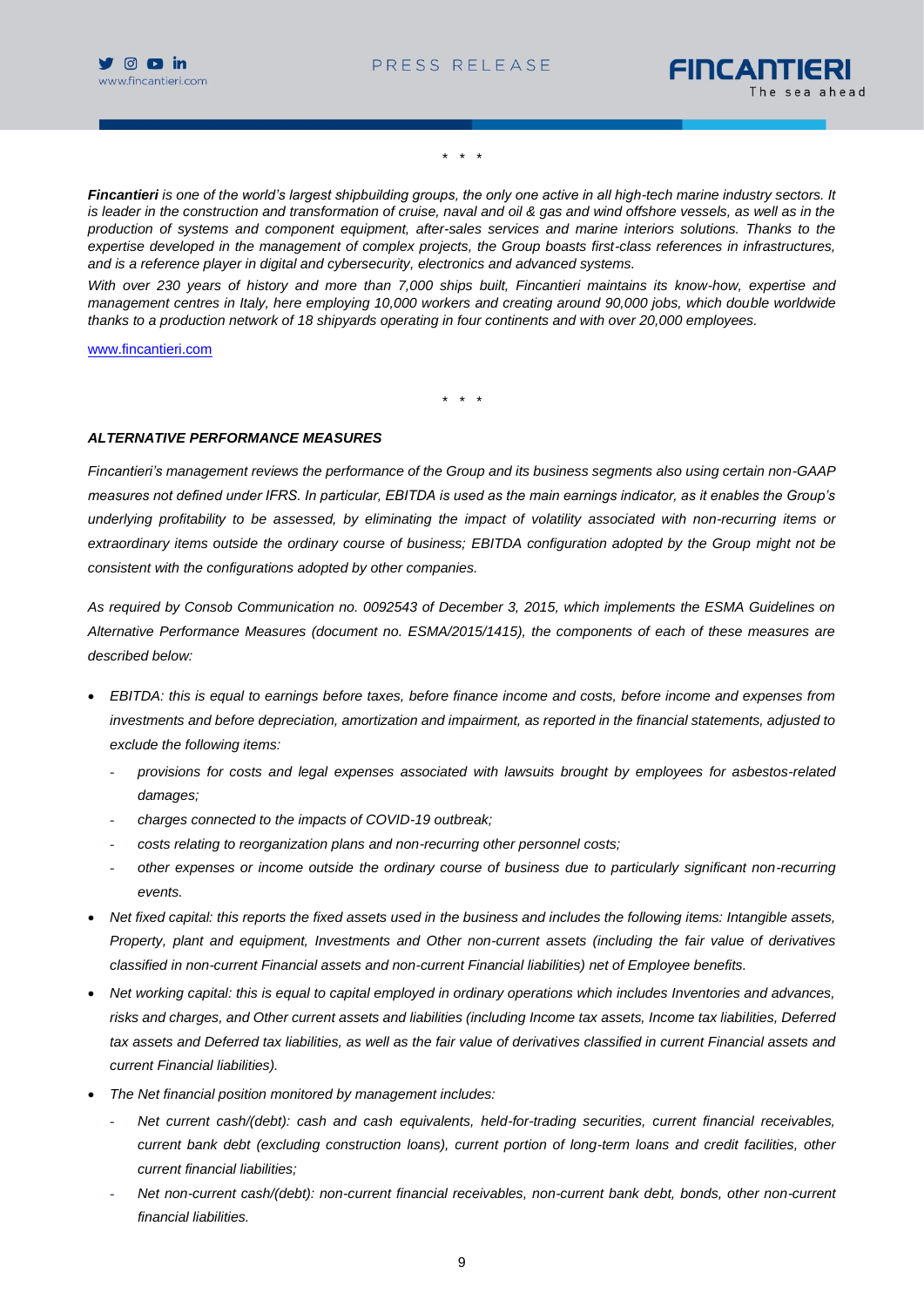



*\* \* \**

*Fincantieri is one of the world's largest shipbuilding groups, the only one active in all high-tech marine industry sectors. It*  is leader in the construction and transformation of cruise, naval and oil & gas and wind offshore vessels, as well as in the *production of systems and component equipment, after-sales services and marine interiors solutions. Thanks to the expertise developed in the management of complex projects, the Group boasts first-class references in infrastructures, and is a reference player in digital and cybersecurity, electronics and advanced systems.*

*With over 230 years of history and more than 7,000 ships built, Fincantieri maintains its know-how, expertise and management centres in Italy, here employing 10,000 workers and creating around 90,000 jobs, which double worldwide thanks to a production network of 18 shipyards operating in four continents and with over 20,000 employees.*

[www.fincantieri.com](http://www.fincantieri.com/)

*\* \* \**

#### *ALTERNATIVE PERFORMANCE MEASURES*

*Fincantieri's management reviews the performance of the Group and its business segments also using certain non-GAAP measures not defined under IFRS. In particular, EBITDA is used as the main earnings indicator, as it enables the Group's underlying profitability to be assessed, by eliminating the impact of volatility associated with non-recurring items or extraordinary items outside the ordinary course of business; EBITDA configuration adopted by the Group might not be consistent with the configurations adopted by other companies.*

*As required by Consob Communication no. 0092543 of December 3, 2015, which implements the ESMA Guidelines on Alternative Performance Measures (document no. ESMA/2015/1415), the components of each of these measures are described below:*

- *EBITDA: this is equal to earnings before taxes, before finance income and costs, before income and expenses from investments and before depreciation, amortization and impairment, as reported in the financial statements, adjusted to exclude the following items:*
	- *provisions for costs and legal expenses associated with lawsuits brought by employees for asbestos-related damages;*
	- *charges connected to the impacts of COVID-19 outbreak;*
	- *costs relating to reorganization plans and non-recurring other personnel costs;*
	- *other expenses or income outside the ordinary course of business due to particularly significant non-recurring events.*
- *Net fixed capital: this reports the fixed assets used in the business and includes the following items: Intangible assets, Property, plant and equipment, Investments and Other non-current assets (including the fair value of derivatives classified in non-current Financial assets and non-current Financial liabilities) net of Employee benefits.*
- *Net working capital: this is equal to capital employed in ordinary operations which includes Inventories and advances, risks and charges, and Other current assets and liabilities (including Income tax assets, Income tax liabilities, Deferred tax assets and Deferred tax liabilities, as well as the fair value of derivatives classified in current Financial assets and current Financial liabilities).*
- *The Net financial position monitored by management includes:*
	- *Net current cash/(debt): cash and cash equivalents, held-for-trading securities, current financial receivables, current bank debt (excluding construction loans), current portion of long-term loans and credit facilities, other current financial liabilities;*
	- *Net non-current cash/(debt): non-current financial receivables, non-current bank debt, bonds, other non-current financial liabilities.*